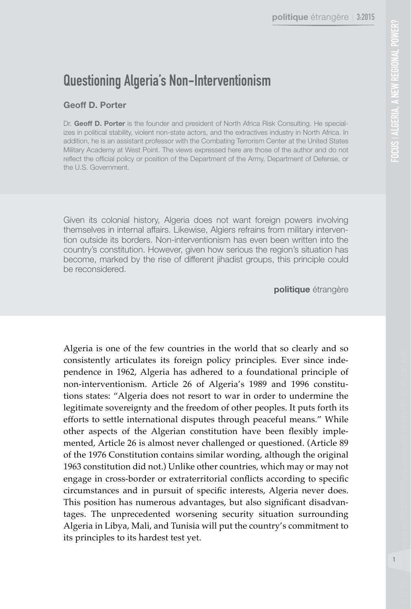# Questioning Algeria's Non-Interventionism

## **Geoff D. Porter**

Dr. **Geoff D. Porter** is the founder and president of North Africa Risk Consulting. He specializes in political stability, violent non-state actors, and the extractives industry in North Africa. In addition, he is an assistant professor with the Combating Terrorism Center at the United States Military Academy at West Point. The views expressed here are those of the author and do not reflect the official policy or position of the Department of the Army, Department of Defense, or the U.S. Government.

Given its colonial history, Algeria does not want foreign powers involving themselves in internal affairs. Likewise, Algiers refrains from military intervention outside its borders. Non-interventionism has even been written into the country's constitution. However, given how serious the region's situation has become, marked by the rise of different jihadist groups, this principle could be reconsidered.

**politique** étrangère

Algeria is one of the few countries in the world that so clearly and so consistently articulates its foreign policy principles. Ever since independence in 1962, Algeria has adhered to a foundational principle of non-interventionism. Article 26 of Algeria's 1989 and 1996 constitutions states: "Algeria does not resort to war in order to undermine the legitimate sovereignty and the freedom of other peoples. It puts forth its efforts to settle international disputes through peaceful means." While other aspects of the Algerian constitution have been flexibly implemented, Article 26 is almost never challenged or questioned. (Article 89 of the 1976 Constitution contains similar wording, although the original 1963 constitution did not.) Unlike other countries, which may or may not engage in cross-border or extraterritorial conflicts according to specific circumstances and in pursuit of specific interests, Algeria never does. This position has numerous advantages, but also significant disadvantages. The unprecedented worsening security situation surrounding Algeria in Libya, Mali, and Tunisia will put the country's commitment to its principles to its hardest test yet.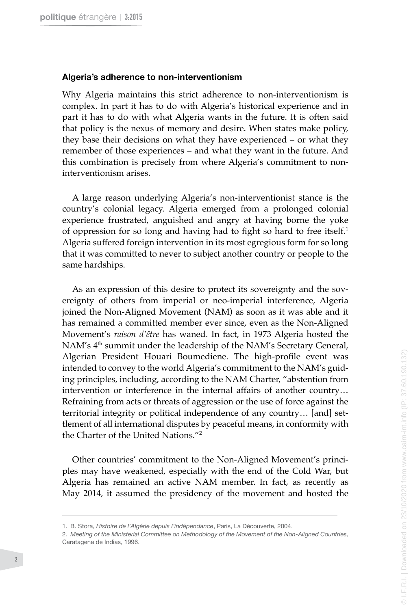#### **Algeria's adherence to non-interventionism**

Why Algeria maintains this strict adherence to non-interventionism is complex. In part it has to do with Algeria's historical experience and in part it has to do with what Algeria wants in the future. It is often said that policy is the nexus of memory and desire. When states make policy, they base their decisions on what they have experienced – or what they remember of those experiences – and what they want in the future. And this combination is precisely from where Algeria's commitment to noninterventionism arises.

A large reason underlying Algeria's non-interventionist stance is the country's colonial legacy. Algeria emerged from a prolonged colonial experience frustrated, anguished and angry at having borne the yoke of oppression for so long and having had to fight so hard to free itself.<sup>1</sup> Algeria suffered foreign intervention in its most egregious form for so long that it was committed to never to subject another country or people to the same hardships.

As an expression of this desire to protect its sovereignty and the sovereignty of others from imperial or neo-imperial interference, Algeria joined the Non-Aligned Movement (NAM) as soon as it was able and it has remained a committed member ever since, even as the Non-Aligned Movement's *raison d'être* has waned. In fact, in 1973 Algeria hosted the NAM's 4<sup>th</sup> summit under the leadership of the NAM's Secretary General, Algerian President Houari Boumediene. The high-profile event was intended to convey to the world Algeria's commitment to the NAM's guiding principles, including, according to the NAM Charter, "abstention from intervention or interference in the internal affairs of another country… Refraining from acts or threats of aggression or the use of force against the territorial integrity or political independence of any country… [and] settlement of all international disputes by peaceful means, in conformity with the Charter of the United Nations."<sup>2</sup>

Other countries' commitment to the Non-Aligned Movement's principles may have weakened, especially with the end of the Cold War, but Algeria has remained an active NAM member. In fact, as recently as May 2014, it assumed the presidency of the movement and hosted the

<sup>1.</sup> B. Stora, *Histoire de l'Algérie depuis l'indépendance*, Paris, La Découverte, 2004.

<sup>2.</sup>  *Meeting of the Ministerial Committee on Methodology of the Movement of the Non-Aligned Countries*, Caratagena de Indias, 1996.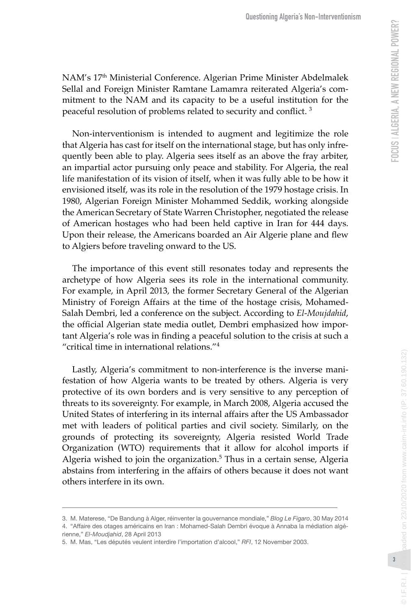NAM's 17th Ministerial Conference. Algerian Prime Minister Abdelmalek Sellal and Foreign Minister Ramtane Lamamra reiterated Algeria's com mitment to the NAM and its capacity to be a useful institution for the peaceful resolution of problems related to security and conflict. 3

Non-interventionism is intended to augment and legitimize the role that Algeria has cast for itself on the international stage, but has only infre quently been able to play. Algeria sees itself as an above the fray arbiter, an impartial actor pursuing only peace and stability. For Algeria, the real life manifestation of its vision of itself, when it was fully able to be how it envisioned itself, was its role in the resolution of the 1979 hostage crisis. In 1980, Algerian Foreign Minister Mohammed Seddik, working alongside the American Secretary of State Warren Christopher, negotiated the release of American hostages who had been held captive in Iran for 444 days. Upon their release, the Americans boarded an Air Algerie plane and flew to Algiers before traveling onward to the US.

The importance of this event still resonates today and represents the archetype of how Algeria sees its role in the international community. For example, in April 2013, the former Secretary General of the Algerian Ministry of Foreign Affairs at the time of the hostage crisis, Mohamed-Salah Dembri, led a conference on the subject. According to *El-Moujdahid*, the official Algerian state media outlet, Dembri emphasized how impor tant Algeria's role was in finding a peaceful solution to the crisis at such a "critical time in international relations." 4

Lastly, Algeria's commitment to non-interference is the inverse mani festation of how Algeria wants to be treated by others. Algeria is very protective of its own borders and is very sensitive to any perception of threats to its sovereignty. For example, in March 2008, Algeria accused the United States of interfering in its internal affairs after the US Ambassador met with leaders of political parties and civil society. Similarly, on the grounds of protecting its sovereignty, Algeria resisted World Trade Organization (WTO) requirements that it allow for alcohol imports if Algeria wished to join the organization. 5 Thus in a certain sense, Algeria abstains from interfering in the affairs of others because it does not want others interfere in its own.

 $@$  | F.R.I.

© I.F.R.I. | Downloaded on 23/10/2020 from www.cairn-int.info (IP: 37.60.190.132)

baded on 23/10/2020 from www.cairn-int.info (IP: 37.60.190.132)

<sup>3.</sup> M. Materese, "De Bandung à Alger, réinventer la gouvernance mondiale," *Blog Le Figaro* , 30 May 2014

<sup>4. &</sup>quot;Affaire des otages américains en Iran : Mohamed-Salah Dembri évoque à Annaba la médiation algé rienne," *El-Moudjahid* , 28 April 2013

<sup>5.</sup> M. Mas, "Les députés veulent interdire l'importation d'alcool," *RFI* , 12 November 2003.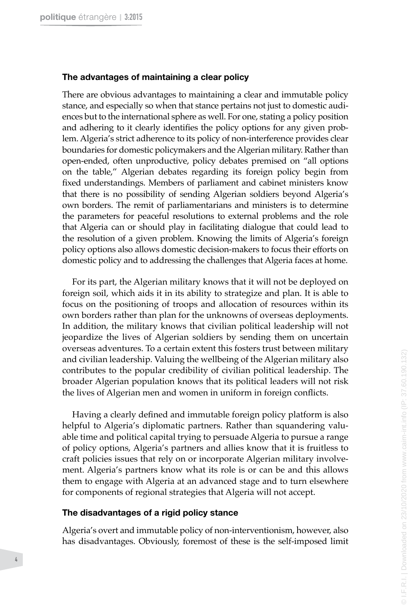#### **The advantages of maintaining a clear policy**

There are obvious advantages to maintaining a clear and immutable policy stance, and especially so when that stance pertains not just to domestic audi ences but to the international sphere as well. For one, stating a policy position and adhering to it clearly identifies the policy options for any given prob lem. Algeria's strict adherence to its policy of non-interference provides clear boundaries for domestic policymakers and the Algerian military. Rather than open-ended, often unproductive, policy debates premised on "all options on the table," Algerian debates regarding its foreign policy begin from fixed understandings. Members of parliament and cabinet ministers know that there is no possibility of sending Algerian soldiers beyond Algeria's own borders. The remit of parliamentarians and ministers is to determine the parameters for peaceful resolutions to external problems and the role that Algeria can or should play in facilitating dialogue that could lead to the resolution of a given problem. Knowing the limits of Algeria's foreign policy options also allows domestic decision-makers to focus their efforts on domestic policy and to addressing the challenges that Algeria faces at home.

For its part, the Algerian military knows that it will not be deployed on foreign soil, which aids it in its ability to strategize and plan. It is able to focus on the positioning of troops and allocation of resources within its own borders rather than plan for the unknowns of overseas deployments. In addition, the military knows that civilian political leadership will not jeopardize the lives of Algerian soldiers by sending them on uncertain overseas adventures. To a certain extent this fosters trust between military and civilian leadership. Valuing the wellbeing of the Algerian military also contributes to the popular credibility of civilian political leadership. The broader Algerian population knows that its political leaders will not risk the lives of Algerian men and women in uniform in foreign conflicts.

Having a clearly defined and immutable foreign policy platform is also helpful to Algeria's diplomatic partners. Rather than squandering valu able time and political capital trying to persuade Algeria to pursue a range of policy options, Algeria's partners and allies know that it is fruitless to craft policies issues that rely on or incorporate Algerian military involve ment. Algeria's partners know what its role is or can be and this allows them to engage with Algeria at an advanced stage and to turn elsewhere for components of regional strategies that Algeria will not accept.

#### **The disadvantages of a rigid policy stance**

Algeria's overt and immutable policy of non-interventionism, however, also has disadvantages. Obviously, foremost of these is the self-imposed limit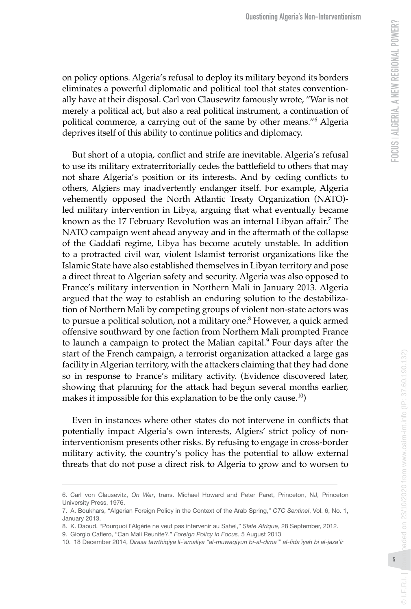on policy options. Algeria's refusal to deploy its military beyond its borders eliminates a powerful diplomatic and political tool that states convention ally have at their disposal. Carl von Clausewitz famously wrote, "War is not merely a political act, but also a real political instrument, a continuation of political commerce, a carrying out of the same by other means." 6 Algeria deprives itself of this ability to continue politics and diplomacy.

But short of a utopia, conflict and strife are inevitable. Algeria's refusal to use its military extraterritorially cedes the battlefield to others that may not share Algeria's position or its interests. And by ceding conflicts to others, Algiers may inadvertently endanger itself. For example, Algeria vehemently opposed the North Atlantic Treaty Organization (NATO) led military intervention in Libya, arguing that what eventually became known as the 17 February Revolution was an internal Libyan affair. 7 The NATO campaign went ahead anyway and in the aftermath of the collapse of the Gaddafi regime, Libya has become acutely unstable. In addition to a protracted civil war, violent Islamist terrorist organizations like the Islamic State have also established themselves in Libyan territory and pose a direct threat to Algerian safety and security. Algeria was also opposed to France's military intervention in Northern Mali in January 2013. Algeria argued that the way to establish an enduring solution to the destabiliza tion of Northern Mali by competing groups of violent non-state actors was to pursue a political solution, not a military one. 8 However, a quick armed offensive southward by one faction from Northern Mali prompted France to launch a campaign to protect the Malian capital. 9 Four days after the start of the French campaign, a terrorist organization attacked a large gas facility in Algerian territory, with the attackers claiming that they had done so in response to France's military activity. (Evidence discovered later, showing that planning for the attack had begun several months earlier, makes it impossible for this explanation to be the only cause.<sup>10</sup> )

Even in instances where other states do not intervene in conflicts that potentially impact Algeria's own interests, Algiers' strict policy of noninterventionism presents other risks. By refusing to engage in cross-border military activity, the country's policy has the potential to allow external threats that do not pose a direct risk to Algeria to grow and to worsen to

8. K. Daoud, "Pourquoi l'Algérie ne veut pas intervenir au Sahel," *Slate Afrique* , 28 September, 2012.

 $@$  | F.R.I.

© I.F.R.I. | Downloaded on 23/10/2020 from www.cairn-int.info (IP: 37.60.190.132)

<sup>6.</sup> Carl von Clausevitz, On War, trans. Michael Howard and Peter Paret, Princeton, NJ, Princeton University Press, 1976.

<sup>7.</sup> A. Boukhars, "Algerian Foreign Policy in the Context of the Arab Spring," *CTC Sentinel* , Vol. 6, No. 1, January 2013.

<sup>9.</sup> Giorgio Cafiero, "Can Mali Reunite?," *Foreign Policy in Focus* , 5 August 2013

<sup>10. 18</sup> December 2014, *Dirasa tawthiqiya li-`amaliya "al-muwaqiyun bi-al-dima'" al-fida'iyah bi al-jaza'ir*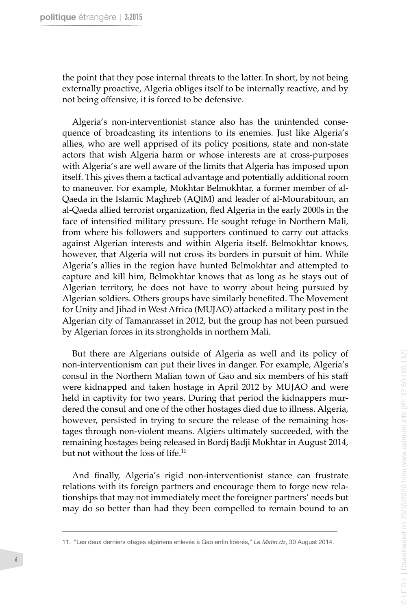the point that they pose internal threats to the latter. In short, by not being externally proactive, Algeria obliges itself to be internally reactive, and by not being offensive, it is forced to be defensive.

Algeria's non-interventionist stance also has the unintended conse quence of broadcasting its intentions to its enemies. Just like Algeria's allies, who are well apprised of its policy positions, state and non-state actors that wish Algeria harm or whose interests are at cross-purposes with Algeria's are well aware of the limits that Algeria has imposed upon itself. This gives them a tactical advantage and potentially additional room to maneuver. For example, Mokhtar Belmokhtar, a former member of al-Qaeda in the Islamic Maghreb (AQIM) and leader of al-Mourabitoun, an al-Qaeda allied terrorist organization, fled Algeria in the early 2000s in the face of intensified military pressure. He sought refuge in Northern Mali, from where his followers and supporters continued to carry out attacks against Algerian interests and within Algeria itself. Belmokhtar knows, however, that Algeria will not cross its borders in pursuit of him. While Algeria's allies in the region have hunted Belmokhtar and attempted to capture and kill him, Belmokhtar knows that as long as he stays out of Algerian territory, he does not have to worry about being pursued by Algerian soldiers. Others groups have similarly benefited. The Movement for Unity and Jihad in West Africa (MUJAO) attacked a military post in the Algerian city of Tamanrasset in 2012, but the group has not been pursued by Algerian forces in its strongholds in northern Mali.

But there are Algerians outside of Algeria as well and its policy of non-interventionism can put their lives in danger. For example, Algeria's consul in the Northern Malian town of Gao and six members of his staff were kidnapped and taken hostage in April 2012 by MUJAO and were held in captivity for two years. During that period the kidnappers mur dered the consul and one of the other hostages died due to illness. Algeria, however, persisted in trying to secure the release of the remaining hos tages through non-violent means. Algiers ultimately succeeded, with the remaining hostages being released in Bordj Badji Mokhtar in August 2014, but not without the loss of life.<sup>11</sup>

And finally, Algeria's rigid non-interventionist stance can frustrate relations with its foreign partners and encourage them to forge new rela tionships that may not immediately meet the foreigner partners' needs but may do so better than had they been compelled to remain bound to an

<sup>11. &</sup>quot;Les deux derniers otages algériens enlevés à Gao enfin libérés," *Le Matin.dz* , 30 August 2014.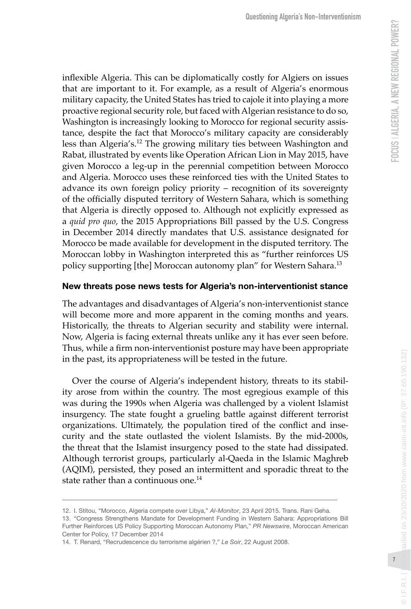inflexible Algeria. This can be diplomatically costly for Algiers on issues that are important to it. For example, as a result of Algeria's enormous military capacity, the United States has tried to cajole it into playing a more proactive regional security role, but faced with Algerian resistance to do so, Washington is increasingly looking to Morocco for regional security assis tance, despite the fact that Morocco's military capacity are considerably less than Algeria's.12 The growing military ties between Washington and Rabat, illustrated by events like Operation African Lion in May 2015, have given Morocco a leg-up in the perennial competition between Morocco and Algeria. Morocco uses these reinforced ties with the United States to advance its own foreign policy priority – recognition of its sovereignty of the officially disputed territory of Western Sahara, which is something that Algeria is directly opposed to. Although not explicitly expressed as a *quid pro quo*, the 2015 Appropriations Bill passed by the U.S. Congress in December 2014 directly mandates that U.S. assistance designated for Morocco be made available for development in the disputed territory. The Moroccan lobby in Washington interpreted this as "further reinforces US policy supporting [the] Moroccan autonomy plan" for Western Sahara.<sup>13</sup>

### **New threats pose news tests for Algeria's non-interventionist stance**

The advantages and disadvantages of Algeria's non-interventionist stance will become more and more apparent in the coming months and years. Historically, the threats to Algerian security and stability were internal. Now, Algeria is facing external threats unlike any it has ever seen before. Thus, while a firm non-interventionist posture may have been appropriate in the past, its appropriateness will be tested in the future.

Over the course of Algeria's independent history, threats to its stabil ity arose from within the country. The most egregious example of this was during the 1990s when Algeria was challenged by a violent Islamist insurgency. The state fought a grueling battle against different terrorist organizations. Ultimately, the population tired of the conflict and inse curity and the state outlasted the violent Islamists. By the mid-2000s, the threat that the Islamist insurgency posed to the state had dissipated. Although terrorist groups, particularly al-Qaeda in the Islamic Maghreb (AQIM), persisted, they posed an intermittent and sporadic threat to the state rather than a continuous one.<sup>14</sup>

 $@$  | F.R.I.

<sup>12.</sup> I. Stitou, "Morocco, Algeria compete over Libya," *Al-Monitor* , 23 April 2015. Trans. Rani Geha.

<sup>13. &</sup>quot;Congress Strengthens Mandate for Development Funding in Western Sahara: Appropriations Bill Further Reinforces US Policy Supporting Moroccan Autonomy Plan," *PR Newswire* , Moroccan American Center for Policy, 17 December 2014

<sup>14.</sup> T. Renard, "Recrudescence du terrorisme algérien ?," *Le Soir* , 22 August 2008.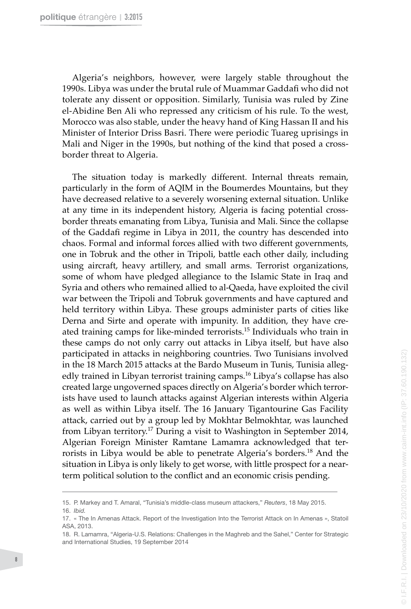Algeria's neighbors, however, were largely stable throughout the 1990s. Libya was under the brutal rule of Muammar Gaddafi who did not tolerate any dissent or opposition. Similarly, Tunisia was ruled by Zine el-Abidine Ben Ali who repressed any criticism of his rule. To the west, Morocco was also stable, under the heavy hand of King Hassan II and his Minister of Interior Driss Basri. There were periodic Tuareg uprisings in Mali and Niger in the 1990s, but nothing of the kind that posed a crossborder threat to Algeria.

The situation today is markedly different. Internal threats remain, particularly in the form of AQIM in the Boumerdes Mountains, but they have decreased relative to a severely worsening external situation. Unlike at any time in its independent history, Algeria is facing potential crossborder threats emanating from Libya, Tunisia and Mali. Since the collapse of the Gaddafi regime in Libya in 2011, the country has descended into chaos. Formal and informal forces allied with two different governments, one in Tobruk and the other in Tripoli, battle each other daily, including using aircraft, heavy artillery, and small arms. Terrorist organizations, some of whom have pledged allegiance to the Islamic State in Iraq and Syria and others who remained allied to al-Qaeda, have exploited the civil war between the Tripoli and Tobruk governments and have captured and held territory within Libya. These groups administer parts of cities like Derna and Sirte and operate with impunity. In addition, they have cre ated training camps for like-minded terrorists.15 Individuals who train in these camps do not only carry out attacks in Libya itself, but have also participated in attacks in neighboring countries. Two Tunisians involved in the 18 March 2015 attacks at the Bardo Museum in Tunis, Tunisia alleg edly trained in Libyan terrorist training camps.<sup>16</sup> Libya's collapse has also created large ungoverned spaces directly on Algeria's border which terror ists have used to launch attacks against Algerian interests within Algeria as well as within Libya itself. The 16 January Tigantourine Gas Facility attack, carried out by a group led by Mokhtar Belmokhtar, was launched from Libyan territory.17 During a visit to Washington in September 2014, Algerian Foreign Minister Ramtane Lamamra acknowledged that ter rorists in Libya would be able to penetrate Algeria's borders.18 And the situation in Libya is only likely to get worse, with little prospect for a nearterm political solution to the conflict and an economic crisis pending.

<sup>15.</sup> P. Markey and T. Amaral, "Tunisia's middle-class museum attackers," *Reuters* , 18 May 2015. 16. *Ibid.*

<sup>17. «</sup> The In Amenas Attack. Report of the Investigation Into the Terrorist Attack on In Amenas », Statoil ASA, 2013.

<sup>18.</sup> R. Lamamra, "Algeria-U.S. Relations: Challenges in the Maghreb and the Sahel," Center for Strategic and International Studies, 19 September 2014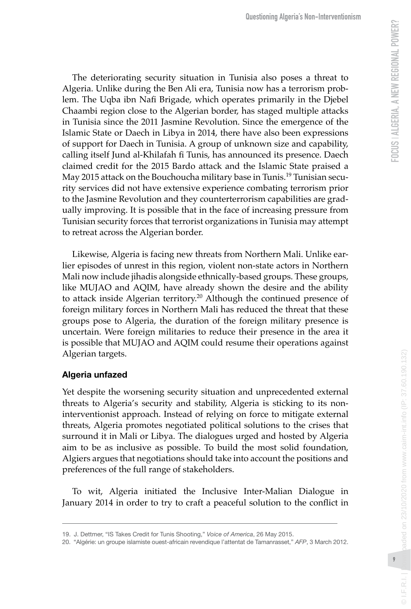The deteriorating security situation in Tunisia also poses a threat to Algeria. Unlike during the Ben Ali era, Tunisia now has a terrorism prob lem. The Uqba ibn Nafi Brigade, which operates primarily in the Djebel Chaambi region close to the Algerian border, has staged multiple attacks in Tunisia since the 2011 Jasmine Revolution. Since the emergence of the Islamic State or Daech in Libya in 2014, there have also been expressions of support for Daech in Tunisia. A group of unknown size and capability, calling itself Jund al-Khilafah fi Tunis, has announced its presence. Daech claimed credit for the 2015 Bardo attack and the Islamic State praised a May 2015 attack on the Bouchoucha military base in Tunis.19 Tunisian secu rity services did not have extensive experience combating terrorism prior to the Jasmine Revolution and they counterterrorism capabilities are grad ually improving. It is possible that in the face of increasing pressure from Tunisian security forces that terrorist organizations in Tunisia may attempt to retreat across the Algerian border.

Likewise, Algeria is facing new threats from Northern Mali. Unlike ear lier episodes of unrest in this region, violent non-state actors in Northern Mali now include jihadis alongside ethnically-based groups. These groups, like MUJAO and AQIM, have already shown the desire and the ability to attack inside Algerian territory.<sup>20</sup> Although the continued presence of foreign military forces in Northern Mali has reduced the threat that these groups pose to Algeria, the duration of the foreign military presence is uncertain. Were foreign militaries to reduce their presence in the area it is possible that MUJAO and AQIM could resume their operations against Algerian targets.

# **Algeria unfazed**

Yet despite the worsening security situation and unprecedented external threats to Algeria's security and stability, Algeria is sticking to its noninterventionist approach. Instead of relying on force to mitigate external threats, Algeria promotes negotiated political solutions to the crises that surround it in Mali or Libya. The dialogues urged and hosted by Algeria aim to be as inclusive as possible. To build the most solid foundation, Algiers argues that negotiations should take into account the positions and preferences of the full range of stakeholders.

To wit, Algeria initiated the Inclusive Inter-Malian Dialogue in January 2014 in order to try to craft a peaceful solution to the conflict in

 $@$  | F.R.I.

© I.F.R.I. | Downloaded on 23/10/2020 from www.cairn-int.info (IP: 37.60.190.132)

baded on 23/10/2020 from www.cairn-int.info (IP: 37.60.190.132)

<sup>19.</sup> J. Dettmer, "IS Takes Credit for Tunis Shooting," *Voice of America* , 26 May 2015.

<sup>20. &</sup>quot;Algérie: un groupe islamiste ouest-africain revendique l'attentat de Tamanrasset," *AFP* , 3 March 2012.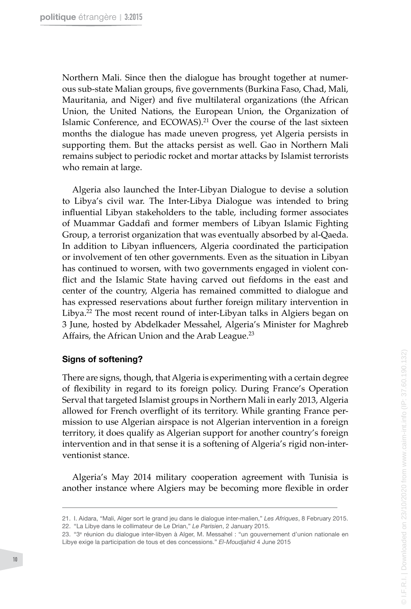Northern Mali. Since then the dialogue has brought together at numerous sub-state Malian groups, five governments (Burkina Faso, Chad, Mali, Mauritania, and Niger) and five multilateral organizations (the African Union, the United Nations, the European Union, the Organization of Islamic Conference, and ECOWAS).<sup>21</sup> Over the course of the last sixteen months the dialogue has made uneven progress, yet Algeria persists in supporting them. But the attacks persist as well. Gao in Northern Mali remains subject to periodic rocket and mortar attacks by Islamist terrorists who remain at large.

Algeria also launched the Inter-Libyan Dialogue to devise a solution to Libya's civil war. The Inter-Libya Dialogue was intended to bring influential Libyan stakeholders to the table, including former associates of Muammar Gaddafi and former members of Libyan Islamic Fighting Group, a terrorist organization that was eventually absorbed by al-Qaeda. In addition to Libyan influencers, Algeria coordinated the participation or involvement of ten other governments. Even as the situation in Libyan has continued to worsen, with two governments engaged in violent conflict and the Islamic State having carved out fiefdoms in the east and center of the country, Algeria has remained committed to dialogue and has expressed reservations about further foreign military intervention in Libya.<sup>22</sup> The most recent round of inter-Libyan talks in Algiers began on 3 June, hosted by Abdelkader Messahel, Algeria's Minister for Maghreb Affairs, the African Union and the Arab League.<sup>23</sup>

#### **Signs of softening?**

There are signs, though, that Algeria is experimenting with a certain degree of flexibility in regard to its foreign policy. During France's Operation Serval that targeted Islamist groups in Northern Mali in early 2013, Algeria allowed for French overflight of its territory. While granting France permission to use Algerian airspace is not Algerian intervention in a foreign territory, it does qualify as Algerian support for another country's foreign intervention and in that sense it is a softening of Algeria's rigid non-interventionist stance.

Algeria's May 2014 military cooperation agreement with Tunisia is another instance where Algiers may be becoming more flexible in order

<sup>21.</sup> I. Aidara, "Mali, Alger sort le grand jeu dans le dialogue inter-malien," *Les Afriques*, 8 February 2015. 22. "La Libye dans le collimateur de Le Drian," *Le Parisien*, 2 January 2015.

<sup>23. &</sup>quot;3e réunion du dialogue inter-libyen à Alger, M. Messahel : "un gouvernement d'union nationale en Libye exige la participation de tous et des concessions." *El-Moudjahid* 4 June 2015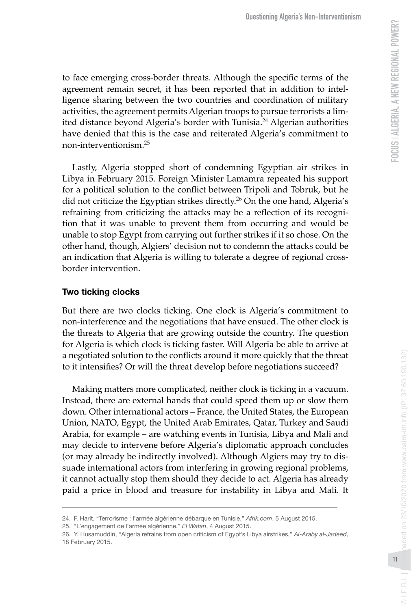to face emerging cross-border threats. Although the specific terms of the agreement remain secret, it has been reported that in addition to intel ligence sharing between the two countries and coordination of military activities, the agreement permits Algerian troops to pursue terrorists a lim ited distance beyond Algeria's border with Tunisia.<sup>24</sup> Algerian authorities have denied that this is the case and reiterated Algeria's commitment to non-interventionism.25

Lastly, Algeria stopped short of condemning Egyptian air strikes in Libya in February 2015. Foreign Minister Lamamra repeated his support for a political solution to the conflict between Tripoli and Tobruk, but he did not criticize the Egyptian strikes directly.<sup>26</sup> On the one hand, Algeria's refraining from criticizing the attacks may be a reflection of its recogni tion that it was unable to prevent them from occurring and would be unable to stop Egypt from carrying out further strikes if it so chose. On the other hand, though, Algiers' decision not to condemn the attacks could be an indication that Algeria is willing to tolerate a degree of regional crossborder intervention.

# **Two ticking clocks**

But there are two clocks ticking. One clock is Algeria's commitment to non-interference and the negotiations that have ensued. The other clock is the threats to Algeria that are growing outside the country. The question for Algeria is which clock is ticking faster. Will Algeria be able to arrive at a negotiated solution to the conflicts around it more quickly that the threat to it intensifies? Or will the threat develop before negotiations succeed?

Making matters more complicated, neither clock is ticking in a vacuum. Instead, there are external hands that could speed them up or slow them down. Other international actors – France, the United States, the European Union, NATO, Egypt, the United Arab Emirates, Qatar, Turkey and Saudi Arabia, for example – are watching events in Tunisia, Libya and Mali and may decide to intervene before Algeria's diplomatic approach concludes (or may already be indirectly involved). Although Algiers may try to dis suade international actors from interfering in growing regional problems, it cannot actually stop them should they decide to act. Algeria has already paid a price in blood and treasure for instability in Libya and Mali. It

 $@I.F.R.I.$ 

<sup>24.</sup> F. Harit, "Terrorisme : l'armée algérienne débarque en Tunisie," Afrik.com, 5 August 2015.

<sup>25. &</sup>quot;L'engagement de l'armée algérienne," *El Watan* , 4 August 2015.

<sup>26.</sup> Y. Husamuddin, "Algeria refrains from open criticism of Egypt's Libya airstrikes," *Al-Araby al-Jadeed* , 18 February 2015.